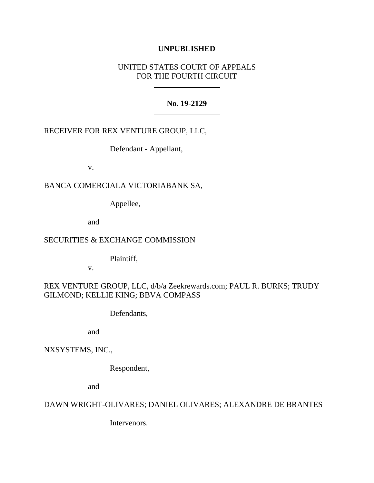## **UNPUBLISHED**

## UNITED STATES COURT OF APPEALS FOR THE FOURTH CIRCUIT

### **No. 19-2129**

## RECEIVER FOR REX VENTURE GROUP, LLC,

Defendant - Appellant,

v.

# BANCA COMERCIALA VICTORIABANK SA,

Appellee,

and

## SECURITIES & EXCHANGE COMMISSION

Plaintiff,

v.

# REX VENTURE GROUP, LLC, d/b/a Zeekrewards.com; PAUL R. BURKS; TRUDY GILMOND; KELLIE KING; BBVA COMPASS

Defendants,

and

## NXSYSTEMS, INC.,

Respondent,

and

## DAWN WRIGHT-OLIVARES; DANIEL OLIVARES; ALEXANDRE DE BRANTES

Intervenors.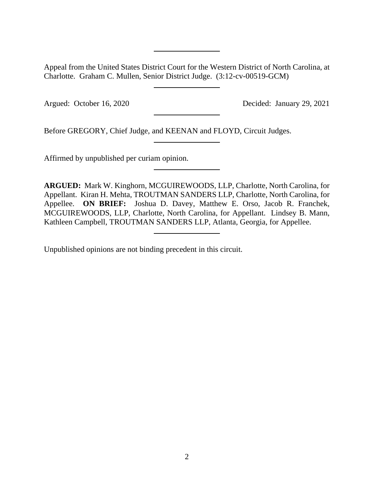Appeal from the United States District Court for the Western District of North Carolina, at Charlotte. Graham C. Mullen, Senior District Judge. (3:12-cv-00519-GCM)

Argued: October 16, 2020 Decided: January 29, 2021

Before GREGORY, Chief Judge, and KEENAN and FLOYD, Circuit Judges.

Affirmed by unpublished per curiam opinion.

**ARGUED:** Mark W. Kinghorn, MCGUIREWOODS, LLP, Charlotte, North Carolina, for Appellant. Kiran H. Mehta, TROUTMAN SANDERS LLP, Charlotte, North Carolina, for Appellee. **ON BRIEF:** Joshua D. Davey, Matthew E. Orso, Jacob R. Franchek, MCGUIREWOODS, LLP, Charlotte, North Carolina, for Appellant. Lindsey B. Mann, Kathleen Campbell, TROUTMAN SANDERS LLP, Atlanta, Georgia, for Appellee.

Unpublished opinions are not binding precedent in this circuit.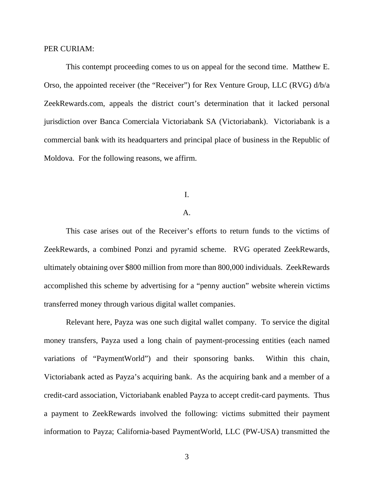#### PER CURIAM:

This contempt proceeding comes to us on appeal for the second time. Matthew E. Orso, the appointed receiver (the "Receiver") for Rex Venture Group, LLC (RVG) d/b/a ZeekRewards.com, appeals the district court's determination that it lacked personal jurisdiction over Banca Comerciala Victoriabank SA (Victoriabank). Victoriabank is a commercial bank with its headquarters and principal place of business in the Republic of Moldova. For the following reasons, we affirm.

I.

### A.

This case arises out of the Receiver's efforts to return funds to the victims of ZeekRewards, a combined Ponzi and pyramid scheme. RVG operated ZeekRewards, ultimately obtaining over \$800 million from more than 800,000 individuals. ZeekRewards accomplished this scheme by advertising for a "penny auction" website wherein victims transferred money through various digital wallet companies.

Relevant here, Payza was one such digital wallet company. To service the digital money transfers, Payza used a long chain of payment-processing entities (each named variations of "PaymentWorld") and their sponsoring banks. Within this chain, Victoriabank acted as Payza's acquiring bank. As the acquiring bank and a member of a credit-card association, Victoriabank enabled Payza to accept credit-card payments. Thus a payment to ZeekRewards involved the following: victims submitted their payment information to Payza; California-based PaymentWorld, LLC (PW-USA) transmitted the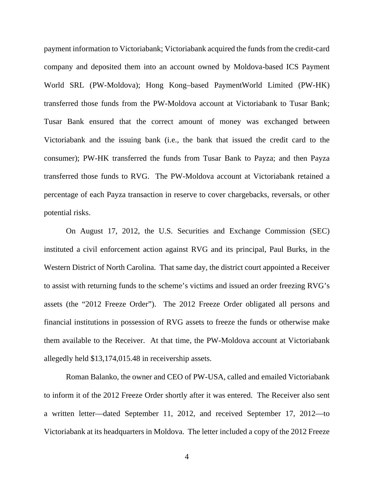payment information to Victoriabank; Victoriabank acquired the funds from the credit-card company and deposited them into an account owned by Moldova-based ICS Payment World SRL (PW-Moldova); Hong Kong–based PaymentWorld Limited (PW-HK) transferred those funds from the PW-Moldova account at Victoriabank to Tusar Bank; Tusar Bank ensured that the correct amount of money was exchanged between Victoriabank and the issuing bank (i.e., the bank that issued the credit card to the consumer); PW-HK transferred the funds from Tusar Bank to Payza; and then Payza transferred those funds to RVG. The PW-Moldova account at Victoriabank retained a percentage of each Payza transaction in reserve to cover chargebacks, reversals, or other potential risks.

On August 17, 2012, the U.S. Securities and Exchange Commission (SEC) instituted a civil enforcement action against RVG and its principal, Paul Burks, in the Western District of North Carolina. That same day, the district court appointed a Receiver to assist with returning funds to the scheme's victims and issued an order freezing RVG's assets (the "2012 Freeze Order"). The 2012 Freeze Order obligated all persons and financial institutions in possession of RVG assets to freeze the funds or otherwise make them available to the Receiver. At that time, the PW-Moldova account at Victoriabank allegedly held \$13,174,015.48 in receivership assets.

Roman Balanko, the owner and CEO of PW-USA, called and emailed Victoriabank to inform it of the 2012 Freeze Order shortly after it was entered. The Receiver also sent a written letter—dated September 11, 2012, and received September 17, 2012—to Victoriabank at its headquarters in Moldova. The letter included a copy of the 2012 Freeze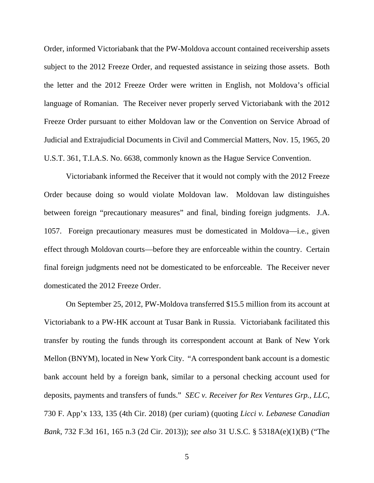Order, informed Victoriabank that the PW-Moldova account contained receivership assets subject to the 2012 Freeze Order, and requested assistance in seizing those assets. Both the letter and the 2012 Freeze Order were written in English, not Moldova's official language of Romanian. The Receiver never properly served Victoriabank with the 2012 Freeze Order pursuant to either Moldovan law or the Convention on Service Abroad of Judicial and Extrajudicial Documents in Civil and Commercial Matters, Nov. 15, 1965, 20 U.S.T. 361, T.I.A.S. No. 6638, commonly known as the Hague Service Convention.

Victoriabank informed the Receiver that it would not comply with the 2012 Freeze Order because doing so would violate Moldovan law. Moldovan law distinguishes between foreign "precautionary measures" and final, binding foreign judgments. J.A. 1057. Foreign precautionary measures must be domesticated in Moldova—i.e., given effect through Moldovan courts—before they are enforceable within the country. Certain final foreign judgments need not be domesticated to be enforceable. The Receiver never domesticated the 2012 Freeze Order.

On September 25, 2012, PW-Moldova transferred \$15.5 million from its account at Victoriabank to a PW-HK account at Tusar Bank in Russia. Victoriabank facilitated this transfer by routing the funds through its correspondent account at Bank of New York Mellon (BNYM), located in New York City. "A correspondent bank account is a domestic bank account held by a foreign bank, similar to a personal checking account used for deposits, payments and transfers of funds." *SEC v. Receiver for Rex Ventures Grp., LLC*, 730 F. App'x 133, 135 (4th Cir. 2018) (per curiam) (quoting *Licci v. Lebanese Canadian Bank*, 732 F.3d 161, 165 n.3 (2d Cir. 2013)); *see also* 31 U.S.C. § 5318A(e)(1)(B) ("The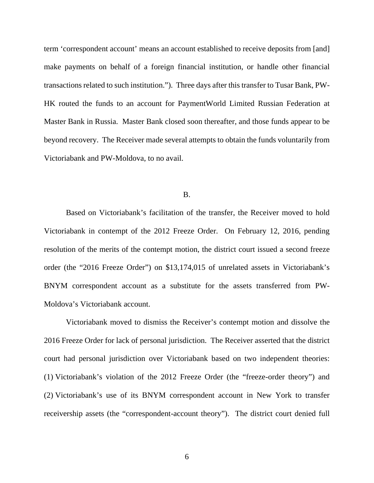term 'correspondent account' means an account established to receive deposits from [and] make payments on behalf of a foreign financial institution, or handle other financial transactions related to such institution."). Three days after this transfer to Tusar Bank, PW-HK routed the funds to an account for PaymentWorld Limited Russian Federation at Master Bank in Russia. Master Bank closed soon thereafter, and those funds appear to be beyond recovery. The Receiver made several attempts to obtain the funds voluntarily from Victoriabank and PW-Moldova, to no avail.

#### B.

Based on Victoriabank's facilitation of the transfer, the Receiver moved to hold Victoriabank in contempt of the 2012 Freeze Order. On February 12, 2016, pending resolution of the merits of the contempt motion, the district court issued a second freeze order (the "2016 Freeze Order") on \$13,174,015 of unrelated assets in Victoriabank's BNYM correspondent account as a substitute for the assets transferred from PW-Moldova's Victoriabank account.

Victoriabank moved to dismiss the Receiver's contempt motion and dissolve the 2016 Freeze Order for lack of personal jurisdiction. The Receiver asserted that the district court had personal jurisdiction over Victoriabank based on two independent theories: (1) Victoriabank's violation of the 2012 Freeze Order (the "freeze-order theory") and (2) Victoriabank's use of its BNYM correspondent account in New York to transfer receivership assets (the "correspondent-account theory"). The district court denied full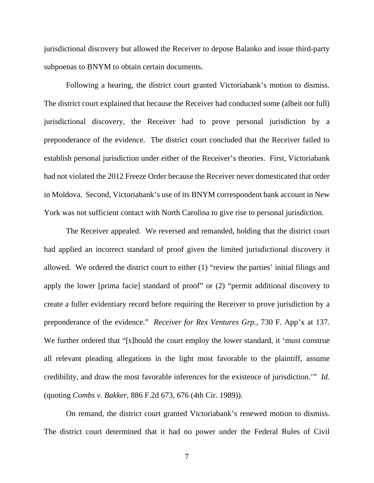jurisdictional discovery but allowed the Receiver to depose Balanko and issue third-party subpoenas to BNYM to obtain certain documents.

Following a hearing, the district court granted Victoriabank's motion to dismiss. The district court explained that because the Receiver had conducted some (albeit not full) jurisdictional discovery, the Receiver had to prove personal jurisdiction by a preponderance of the evidence. The district court concluded that the Receiver failed to establish personal jurisdiction under either of the Receiver's theories. First, Victoriabank had not violated the 2012 Freeze Order because the Receiver never domesticated that order in Moldova. Second, Victoriabank's use of its BNYM correspondent bank account in New York was not sufficient contact with North Carolina to give rise to personal jurisdiction.

The Receiver appealed. We reversed and remanded, holding that the district court had applied an incorrect standard of proof given the limited jurisdictional discovery it allowed. We ordered the district court to either (1) "review the parties' initial filings and apply the lower [prima facie] standard of proof" or (2) "permit additional discovery to create a fuller evidentiary record before requiring the Receiver to prove jurisdiction by a preponderance of the evidence." *Receiver for Rex Ventures Grp.*, 730 F. App'x at 137. We further ordered that "[s]hould the court employ the lower standard, it 'must construe all relevant pleading allegations in the light most favorable to the plaintiff, assume credibility, and draw the most favorable inferences for the existence of jurisdiction.'" *Id.* (quoting *Combs v. Bakker*, 886 F.2d 673, 676 (4th Cir. 1989)).

On remand, the district court granted Victoriabank's renewed motion to dismiss. The district court determined that it had no power under the Federal Rules of Civil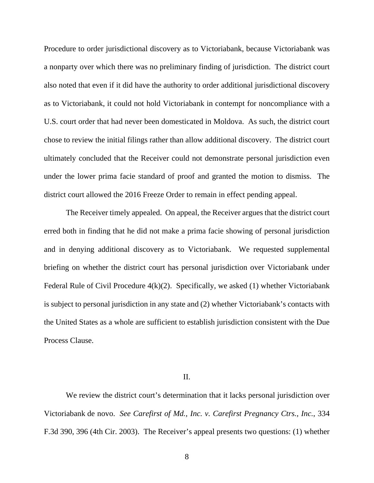Procedure to order jurisdictional discovery as to Victoriabank, because Victoriabank was a nonparty over which there was no preliminary finding of jurisdiction. The district court also noted that even if it did have the authority to order additional jurisdictional discovery as to Victoriabank, it could not hold Victoriabank in contempt for noncompliance with a U.S. court order that had never been domesticated in Moldova. As such, the district court chose to review the initial filings rather than allow additional discovery. The district court ultimately concluded that the Receiver could not demonstrate personal jurisdiction even under the lower prima facie standard of proof and granted the motion to dismiss. The district court allowed the 2016 Freeze Order to remain in effect pending appeal.

The Receiver timely appealed. On appeal, the Receiver argues that the district court erred both in finding that he did not make a prima facie showing of personal jurisdiction and in denying additional discovery as to Victoriabank. We requested supplemental briefing on whether the district court has personal jurisdiction over Victoriabank under Federal Rule of Civil Procedure 4(k)(2). Specifically, we asked (1) whether Victoriabank is subject to personal jurisdiction in any state and (2) whether Victoriabank's contacts with the United States as a whole are sufficient to establish jurisdiction consistent with the Due Process Clause.

II.

We review the district court's determination that it lacks personal jurisdiction over Victoriabank de novo. *See Carefirst of Md., Inc. v. Carefirst Pregnancy Ctrs., Inc.*, 334 F.3d 390, 396 (4th Cir. 2003). The Receiver's appeal presents two questions: (1) whether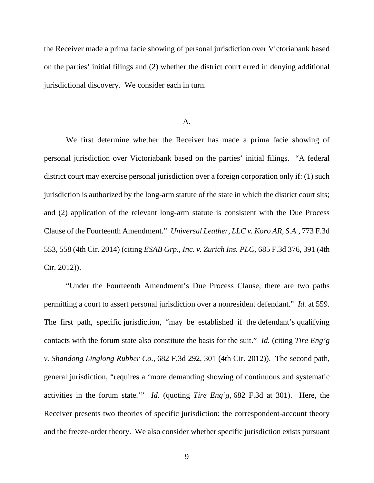the Receiver made a prima facie showing of personal jurisdiction over Victoriabank based on the parties' initial filings and (2) whether the district court erred in denying additional jurisdictional discovery. We consider each in turn.

### A.

We first determine whether the Receiver has made a prima facie showing of personal jurisdiction over Victoriabank based on the parties' initial filings. "A federal district court may exercise personal jurisdiction over a foreign corporation only if: (1) such jurisdiction is authorized by the long-arm statute of the state in which the district court sits; and (2) application of the relevant long-arm statute is consistent with the Due Process Clause of the Fourteenth Amendment." *Universal Leather, LLC v. Koro AR, S.A.*, 773 F.3d 553, 558 (4th Cir. 2014) (citing *ESAB Grp., Inc. v. Zurich Ins. PLC*, 685 F.3d 376, 391 (4th Cir. 2012)).

"Under the Fourteenth Amendment's Due Process Clause, there are two paths permitting a court to assert personal jurisdiction over a nonresident defendant." *Id.* at 559. The first path, specific jurisdiction, "may be established if the defendant's qualifying contacts with the forum state also constitute the basis for the suit." *Id.* (citing *Tire Eng'g v. Shandong Linglong Rubber Co.*, 682 F.3d 292, 301 (4th Cir. 2012)). The second path, general jurisdiction, "requires a 'more demanding showing of continuous and systematic activities in the forum state.'" *Id.* (quoting *Tire Eng'g*, 682 F.3d at 301). Here, the Receiver presents two theories of specific jurisdiction: the correspondent-account theory and the freeze-order theory. We also consider whether specific jurisdiction exists pursuant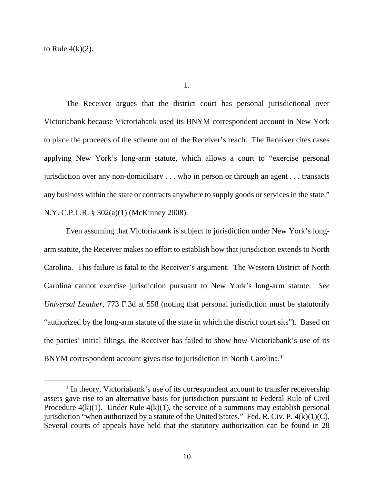to Rule  $4(k)(2)$ .

The Receiver argues that the district court has personal jurisdictional over Victoriabank because Victoriabank used its BNYM correspondent account in New York to place the proceeds of the scheme out of the Receiver's reach. The Receiver cites cases applying New York's long-arm statute, which allows a court to "exercise personal jurisdiction over any non-domiciliary . . . who in person or through an agent . . . transacts any business within the state or contracts anywhere to supply goods or services in the state." N.Y. C.P.L.R. § 302(a)(1) (McKinney 2008).

Even assuming that Victoriabank is subject to jurisdiction under New York's longarm statute, the Receiver makes no effort to establish how that jurisdiction extends to North Carolina. This failure is fatal to the Receiver's argument. The Western District of North Carolina cannot exercise jurisdiction pursuant to New York's long-arm statute. *See Universal Leather*, 773 F.3d at 558 (noting that personal jurisdiction must be statutorily "authorized by the long-arm statute of the state in which the district court sits"). Based on the parties' initial filings, the Receiver has failed to show how Victoriabank's use of its BNYM correspondent account gives rise to jurisdiction in North Carolina.<sup>[1](#page-9-0)</sup>

<span id="page-9-0"></span><sup>&</sup>lt;sup>1</sup> In theory, Victoriabank's use of its correspondent account to transfer receivership assets gave rise to an alternative basis for jurisdiction pursuant to Federal Rule of Civil Procedure  $4(k)(1)$ . Under Rule  $4(k)(1)$ , the service of a summons may establish personal jurisdiction "when authorized by a statute of the United States." Fed. R. Civ. P.  $4(k)(1)(C)$ . Several courts of appeals have held that the statutory authorization can be found in 28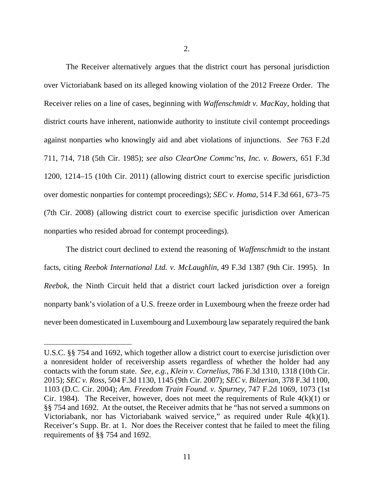2.

The Receiver alternatively argues that the district court has personal jurisdiction over Victoriabank based on its alleged knowing violation of the 2012 Freeze Order. The Receiver relies on a line of cases, beginning with *Waffenschmidt v. MacKay*, holding that district courts have inherent, nationwide authority to institute civil contempt proceedings against nonparties who knowingly aid and abet violations of injunctions. *See* 763 F.2d 711, 714, 718 (5th Cir. 1985); *see also ClearOne Commc'ns, Inc. v. Bowers*, 651 F.3d 1200, 1214–15 (10th Cir. 2011) (allowing district court to exercise specific jurisdiction over domestic nonparties for contempt proceedings); *SEC v. Homa*, 514 F.3d 661, 673–75 (7th Cir. 2008) (allowing district court to exercise specific jurisdiction over American nonparties who resided abroad for contempt proceedings).

The district court declined to extend the reasoning of *Waffenschmidt* to the instant facts, citing *Reebok International Ltd. v. McLaughlin*, 49 F.3d 1387 (9th Cir. 1995). In *Reebok*, the Ninth Circuit held that a district court lacked jurisdiction over a foreign nonparty bank's violation of a U.S. freeze order in Luxembourg when the freeze order had never been domesticated in Luxembourg and Luxembourg law separately required the bank

U.S.C. §§ 754 and 1692, which together allow a district court to exercise jurisdiction over a nonresident holder of receivership assets regardless of whether the holder had any contacts with the forum state. *See, e.g.*, *Klein v. Cornelius*, 786 F.3d 1310, 1318 (10th Cir. 2015); *SEC v. Ross*, 504 F.3d 1130, 1145 (9th Cir. 2007); *SEC v. Bilzerian*, 378 F.3d 1100, 1103 (D.C. Cir. 2004); *Am. Freedom Train Found. v. Spurney*, 747 F.2d 1069, 1073 (1st Cir. 1984). The Receiver, however, does not meet the requirements of Rule  $4(k)(1)$  or §§ 754 and 1692. At the outset, the Receiver admits that he "has not served a summons on Victoriabank, nor has Victoriabank waived service," as required under Rule 4(k)(1). Receiver's Supp. Br. at 1. Nor does the Receiver contest that he failed to meet the filing requirements of §§ 754 and 1692.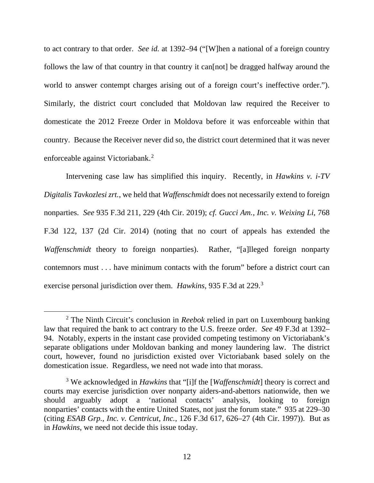to act contrary to that order. *See id.* at 1392–94 ("[W]hen a national of a foreign country follows the law of that country in that country it can [not] be dragged halfway around the world to answer contempt charges arising out of a foreign court's ineffective order."). Similarly, the district court concluded that Moldovan law required the Receiver to domesticate the 2012 Freeze Order in Moldova before it was enforceable within that country. Because the Receiver never did so, the district court determined that it was never enforceable against Victoriabank.[2](#page-11-0)

Intervening case law has simplified this inquiry. Recently, in *Hawkins v. i-TV Digitalis Tavkozlesi zrt.*, we held that *Waffenschmidt* does not necessarily extend to foreign nonparties. *See* 935 F.3d 211, 229 (4th Cir. 2019); *cf. Gucci Am., Inc. v. Weixing Li*, 768 F.3d 122, 137 (2d Cir. 2014) (noting that no court of appeals has extended the *Waffenschmidt* theory to foreign nonparties). Rather, "[a]lleged foreign nonparty contemnors must . . . have minimum contacts with the forum" before a district court can exercise personal jurisdiction over them. *Hawkins*, 935 F.3d at 229.[3](#page-11-1)

<span id="page-11-0"></span><sup>2</sup> The Ninth Circuit's conclusion in *Reebok* relied in part on Luxembourg banking law that required the bank to act contrary to the U.S. freeze order. *See* 49 F.3d at 1392– 94. Notably, experts in the instant case provided competing testimony on Victoriabank's separate obligations under Moldovan banking and money laundering law. The district court, however, found no jurisdiction existed over Victoriabank based solely on the domestication issue. Regardless, we need not wade into that morass.

<span id="page-11-1"></span><sup>3</sup> We acknowledged in *Hawkins* that "[i]f the [*Waffenschmidt*] theory is correct and courts may exercise jurisdiction over nonparty aiders-and-abettors nationwide, then we should arguably adopt a 'national contacts' analysis, looking to foreign nonparties' contacts with the entire United States, not just the forum state." 935 at 229–30 (citing *ESAB Grp., Inc. v. Centricut, Inc.*, 126 F.3d 617, 626–27 (4th Cir. 1997)). But as in *Hawkins*, we need not decide this issue today.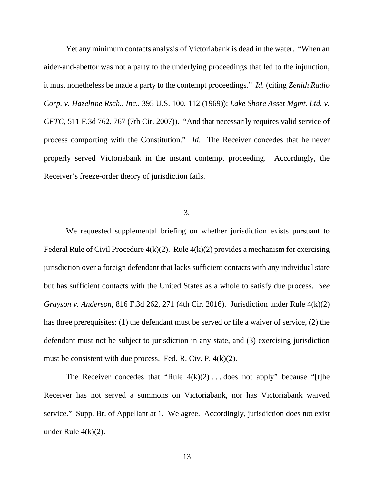Yet any minimum contacts analysis of Victoriabank is dead in the water. "When an aider-and-abettor was not a party to the underlying proceedings that led to the injunction, it must nonetheless be made a party to the contempt proceedings." *Id.* (citing *Zenith Radio Corp. v. Hazeltine Rsch., Inc.*, 395 U.S. 100, 112 (1969)); *Lake Shore Asset Mgmt. Ltd. v. CFTC*, 511 F.3d 762, 767 (7th Cir. 2007)). "And that necessarily requires valid service of process comporting with the Constitution." *Id*. The Receiver concedes that he never properly served Victoriabank in the instant contempt proceeding. Accordingly, the Receiver's freeze-order theory of jurisdiction fails.

### 3.

We requested supplemental briefing on whether jurisdiction exists pursuant to Federal Rule of Civil Procedure  $4(k)(2)$ . Rule  $4(k)(2)$  provides a mechanism for exercising jurisdiction over a foreign defendant that lacks sufficient contacts with any individual state but has sufficient contacts with the United States as a whole to satisfy due process. *See Grayson v. Anderson*, 816 F.3d 262, 271 (4th Cir. 2016). Jurisdiction under Rule 4(k)(2) has three prerequisites: (1) the defendant must be served or file a waiver of service, (2) the defendant must not be subject to jurisdiction in any state, and (3) exercising jurisdiction must be consistent with due process. Fed. R. Civ. P. 4(k)(2).

The Receiver concedes that "Rule  $4(k)(2) \ldots$  does not apply" because "[t]he Receiver has not served a summons on Victoriabank, nor has Victoriabank waived service." Supp. Br. of Appellant at 1. We agree. Accordingly, jurisdiction does not exist under Rule  $4(k)(2)$ .